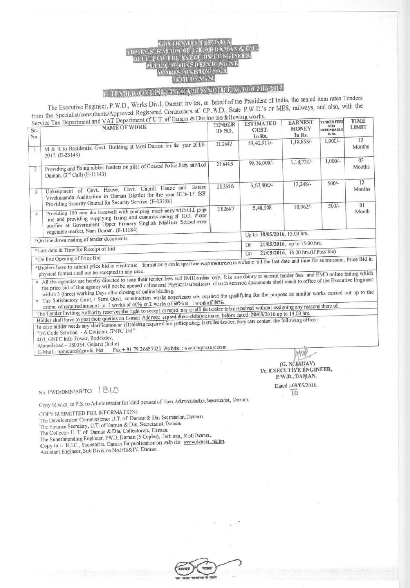## ADMINISTRATION OF U. T. OF DAMAN & DI PUBLIC WORKS D'EPA RIMENT. MORKS DIVISION NO. 1. MOTI DAMAN.

## E-TENDER (ON LINE) INVITATION NOTICE No. 10 of 2016-2017.

The Executive Engineer, P.W.D., Works Div.I, Daman invites, on behalf of the President of India, the sealed item rates Tenders The Executive Engineer, P.W.D., WORKS DIV.I, Damart MARG, CP.W.D., State P.W.D.'s or MES, railways, and also, with the<br>from the Specialist/consultants/Approved Registered Contractors of C.P.W.D., State P.W.D.'s or MES, rai

| Sr.<br>No.                                                                                                                                                                                 | from the Specialist/consultants/Approved Registered Contractors of U.P.W.D., State P.W.D. S of MIDS, Tallways, and most, then the<br>Service Tax Department and VAT Department of U.T. of Daman & Diufor the following works.<br><b>NAME OF WORK</b>    | <b>TENDER</b><br>ID NO. | <b>ESTIMATED</b><br>COST.<br>In Rs.       | <b>EARNEST</b><br><b>MONEY</b><br>In Rs. | <b>TENDER FEES</b><br><b>NON</b><br>REFUNDABLE<br>In Rs. | <b>TIME</b><br><b>LIMIT</b> |
|--------------------------------------------------------------------------------------------------------------------------------------------------------------------------------------------|---------------------------------------------------------------------------------------------------------------------------------------------------------------------------------------------------------------------------------------------------------|-------------------------|-------------------------------------------|------------------------------------------|----------------------------------------------------------|-----------------------------|
|                                                                                                                                                                                            | M & R to Residential Govt. Building at Moti Daman for the year 2016-<br>2017. (E-23148)                                                                                                                                                                 | 212642                  | 59, 42, 917/-                             | 1,18,858/-                               | $1,000/-$                                                | 12<br>Months                |
| $\sqrt{2}$                                                                                                                                                                                 | Providing and fixing rubber fenders on piles of Coastal Police Jetty at Moti<br>Daman. (2 <sup>nd</sup> Call) (E-11143)                                                                                                                                 | 21 6445                 | 59,36,000/-                               | 1,18,720/-                               | $1,000/-$                                                | 03<br>Months                |
| 3                                                                                                                                                                                          | Upkeepment of Govt. House, Govt. Circuit House and Swami<br>Vivekananda Auditorium in Daman District for the year 2016-17. SH:<br>Providing Security Gaurad for Security Service. (E-23158)                                                             | 212646                  | $6,62,400/-$                              | $13.248/-$                               | $500/-$                                                  | 12<br>Months<br>01          |
| $\overline{4}$                                                                                                                                                                             | Providing 180 mm dia borewell with pumping machinery with G.I. pipe<br>line and providing supplying fixing and commissioning of RO. Water<br>purifier at Government Upper Primary English Medium School mear<br>vegetable market, Nani Daman. (E-11184) | 212647                  | 5,48,108                                  | 10,962/-                                 | $500/-$                                                  | Month                       |
|                                                                                                                                                                                            |                                                                                                                                                                                                                                                         |                         | Up to 18/05/2016, 15.00 hrs.              |                                          |                                                          |                             |
| *On line downloading of tender documents                                                                                                                                                   |                                                                                                                                                                                                                                                         |                         | 21/05/2016, up to 15.00 hrs.<br>On        |                                          |                                                          |                             |
| *Last date & Time for Receipt of Bid                                                                                                                                                       |                                                                                                                                                                                                                                                         |                         | 21/05/2016, 16.00 hrs.(if Possible)<br>On |                                          |                                                          |                             |
| *On line Opening of Price Bid<br>*Bidders have to submit price bid in electronic format only on https://www.pp rocure.com website till the last date and time for submission. Price Bid in |                                                                                                                                                                                                                                                         |                         |                                           |                                          |                                                          |                             |

physical format shall not be accepted in any case.<br>All the agencies are hereby directed to scan their tender fees and EMD online only. It is mandatory to submit tender fees and EMD online failing which the price bid of tha In physical format shall not be accepted in any case.<br>In All the agencies are hereby directed to scan their tender fees and EMD online only. It is mandatory to submit tender fees and EMD online failing which

within 3 (three) working Days after closing of online bidding.<br>The Satisfactory Govt. / Semi Govt. construction works experience are required for qualifying for the purpose as similar works carried out up to the extend of required amount i.e. 3 works of 40% or 2 works of 60% or 1 w ork of 80%.

The Tender Inviting Authority reserves the right to accept or reject any or all the tender to be received without assigning any reasons there of. Bidder shall have to post their queries on E-mail Address: eep wd-d mn-dda)nic.i n on before dated: 20/05/2016 up to 14.00 hrs.

In case bidder needs any clarification or if training required for participating in oraline tender, they can contact the following office :

"(n) Code Solution - A Division, GNFC Ltd"

403, GNFC Info Tower, Bodakdev,

Ahmedabad - 380054, Gujarat (India)<br>E-Mail:- nprocure@gnvfc. Net Fax  $\text{Fax} + 917926857321$  We bsite  $\pm$  www.m procurre.com  $\text{MMS}$ 

No. PWD/DMN/AB/TC/ Dated :-09 Dated :-09 Dated :-09 Dated :-09 Dated :-09 Dated :-09 Dated :-09 Dated :-09 Dated :-09 Dated :-09 Dated :-09 Dated :-09 Dated :-09 Dated :-09 Dated :-09 Dated :-09 Executive R.W.D., The Dated

COPY SUBMITTED FOR INFORMATION:-

The Development Commissioner U.T. of Daman & Diu Secretariat, Daman.

The Finance Secretary, U.T. of Daman & Diu, Secretariat, **Daman.**

The Collector U. T. of Daman & Diu, Collectorate, Daman.

The Superintending **Engineer,** PWD, Daman (5 Copies), Fort area, **Moti Doman\_**

Copy to :- N.I.C., Secretariat, Daman for publication on web site www.daman\_nic.ir.

Assistant Engineer, Sub Division No.1/II/&IV, Daman.



**I/c. EXECUTIVE ENGINEER,** P.W.D., DAMAN. Dated :-09/05/2016.

(G. N:^JADAV)